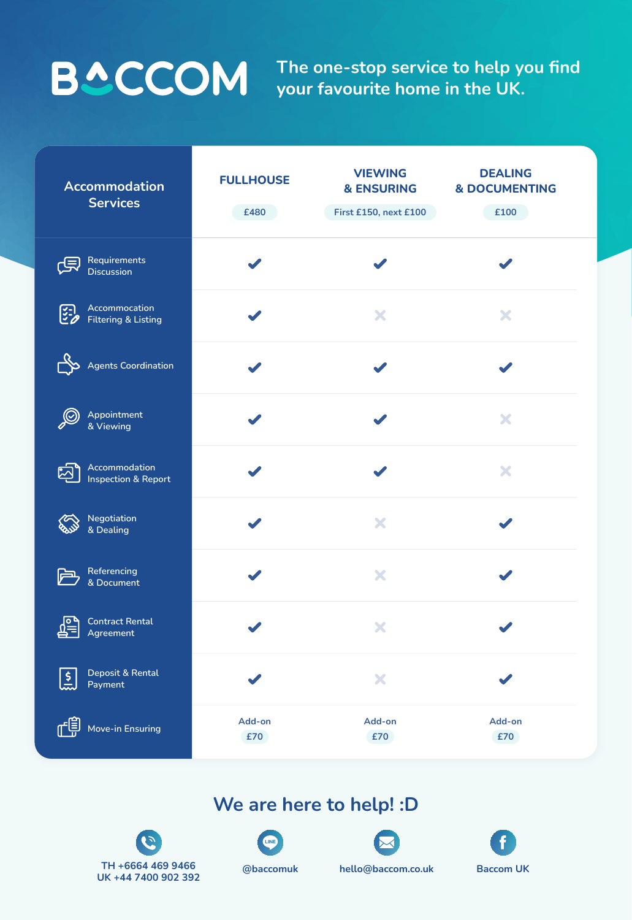**The one-stop service to help you find your favourite home in the UK.**

| Accommodation<br><b>Services</b>                              | <b>FULLHOUSE</b><br>£480 | <b>VIEWING</b><br><b>&amp; ENSURING</b><br>First £150, next £100 | <b>DEALING</b><br><b>&amp; DOCUMENTING</b><br>£100 |
|---------------------------------------------------------------|--------------------------|------------------------------------------------------------------|----------------------------------------------------|
| Requirements<br>哈<br><b>Discussion</b>                        |                          |                                                                  |                                                    |
| Accommocation<br><b>ESP</b><br><b>Filtering &amp; Listing</b> |                          | X                                                                | X                                                  |
| <b>Agents Coordination</b>                                    |                          |                                                                  |                                                    |
| Appointment<br>& Viewing                                      |                          |                                                                  | X                                                  |
| Accommodation<br>ည<br><b>Inspection &amp; Report</b>          |                          |                                                                  | X                                                  |
| Negotiation<br>$\infty$<br><b>EV &amp; Dealing</b>            |                          |                                                                  |                                                    |
| Referencing<br>广<br>& Document                                |                          | X                                                                |                                                    |
| <b>Contract Rental</b><br>Agreement                           |                          | X                                                                |                                                    |
| Deposit & Rental<br>ا ج<br>أحما<br>Payment                    |                          | ×                                                                |                                                    |
| ரி≣<br>Move-in Ensuring                                       | Add-on<br>£70            | Add-on<br>£70                                                    | Add-on<br>£70                                      |

# **We are here to help! :D**